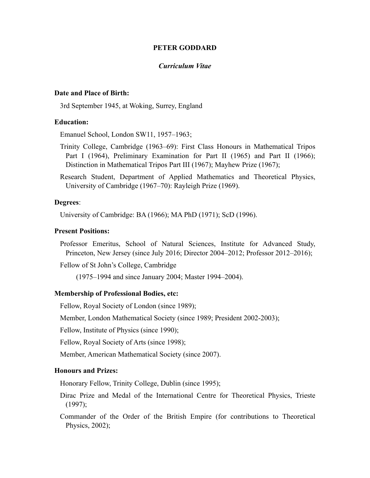### **PETER GODDARD**

#### *Curriculum Vitae*

# **Date and Place of Birth:**

3rd September 1945, at Woking, Surrey, England

## **Education:**

Emanuel School, London SW11, 1957–1963;

- Trinity College, Cambridge (1963–69): First Class Honours in Mathematical Tripos Part I (1964), Preliminary Examination for Part II (1965) and Part II (1966); Distinction in Mathematical Tripos Part III (1967); Mayhew Prize (1967);
- Research Student, Department of Applied Mathematics and Theoretical Physics, University of Cambridge (1967–70): Rayleigh Prize (1969).

## **Degrees**:

University of Cambridge: BA (1966); MA PhD (1971); ScD (1996).

### **Present Positions:**

Professor Emeritus, School of Natural Sciences, Institute for Advanced Study, Princeton, New Jersey (since July 2016; Director 2004–2012; Professor 2012–2016);

Fellow of St John's College, Cambridge

(1975–1994 and since January 2004; Master 1994–2004).

### **Membership of Professional Bodies, etc:**

Fellow, Royal Society of London (since 1989);

Member, London Mathematical Society (since 1989; President 2002-2003);

Fellow, Institute of Physics (since 1990);

Fellow, Royal Society of Arts (since 1998);

Member, American Mathematical Society (since 2007).

#### **Honours and Prizes:**

Honorary Fellow, Trinity College, Dublin (since 1995);

- Dirac Prize and Medal of the International Centre for Theoretical Physics, Trieste (1997);
- Commander of the Order of the British Empire (for contributions to Theoretical Physics, 2002);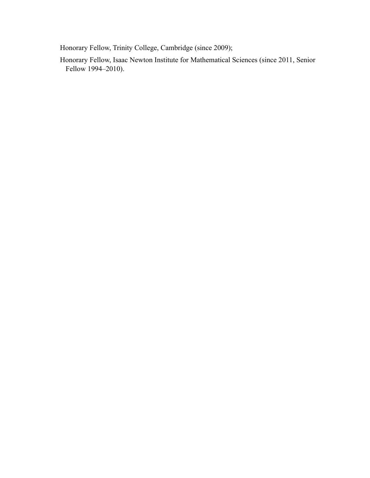Honorary Fellow, Trinity College, Cambridge (since 2009);

Honorary Fellow, Isaac Newton Institute for Mathematical Sciences (since 2011, Senior Fellow 1994–2010).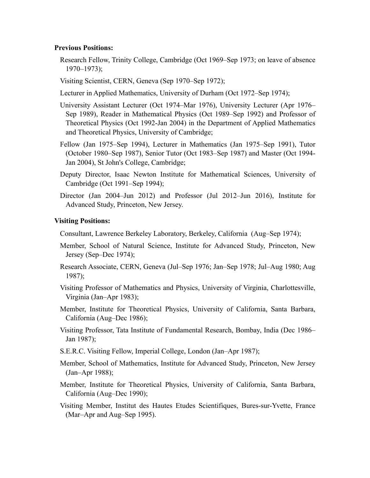### **Previous Positions:**

- Research Fellow, Trinity College, Cambridge (Oct 1969–Sep 1973; on leave of absence 1970–1973);
- Visiting Scientist, CERN, Geneva (Sep 1970–Sep 1972);
- Lecturer in Applied Mathematics, University of Durham (Oct 1972–Sep 1974);
- University Assistant Lecturer (Oct 1974–Mar 1976), University Lecturer (Apr 1976– Sep 1989), Reader in Mathematical Physics (Oct 1989–Sep 1992) and Professor of Theoretical Physics (Oct 1992-Jan 2004) in the Department of Applied Mathematics and Theoretical Physics, University of Cambridge;
- Fellow (Jan 1975–Sep 1994), Lecturer in Mathematics (Jan 1975–Sep 1991), Tutor (October 1980–Sep 1987), Senior Tutor (Oct 1983–Sep 1987) and Master (Oct 1994- Jan 2004), St John's College, Cambridge;
- Deputy Director, Isaac Newton Institute for Mathematical Sciences, University of Cambridge (Oct 1991–Sep 1994);
- Director (Jan 2004–Jun 2012) and Professor (Jul 2012–Jun 2016), Institute for Advanced Study, Princeton, New Jersey.

## **Visiting Positions:**

Consultant, Lawrence Berkeley Laboratory, Berkeley, California (Aug–Sep 1974);

- Member, School of Natural Science, Institute for Advanced Study, Princeton, New Jersey (Sep–Dec 1974);
- Research Associate, CERN, Geneva (Jul–Sep 1976; Jan–Sep 1978; Jul–Aug 1980; Aug 1987);
- Visiting Professor of Mathematics and Physics, University of Virginia, Charlottesville, Virginia (Jan–Apr 1983);
- Member, Institute for Theoretical Physics, University of California, Santa Barbara, California (Aug–Dec 1986);
- Visiting Professor, Tata Institute of Fundamental Research, Bombay, India (Dec 1986– Jan 1987);
- S.E.R.C. Visiting Fellow, Imperial College, London (Jan–Apr 1987);
- Member, School of Mathematics, Institute for Advanced Study, Princeton, New Jersey (Jan–Apr 1988);
- Member, Institute for Theoretical Physics, University of California, Santa Barbara, California (Aug–Dec 1990);
- Visiting Member, Institut des Hautes Etudes Scientifiques, Bures-sur-Yvette, France (Mar–Apr and Aug–Sep 1995).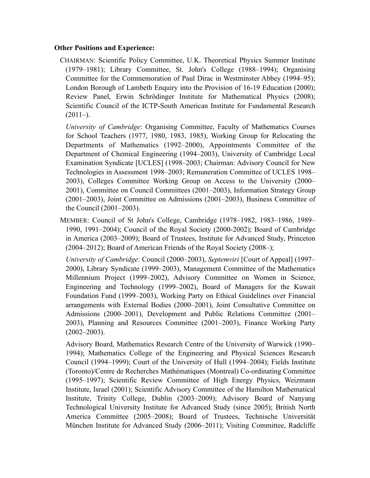# **Other Positions and Experience:**

CHAIRMAN: Scientific Policy Committee, U.K. Theoretical Physics Summer Institute (1979–1981); Library Committee, St. John's College (1988–1994); Organising Committee for the Commemoration of Paul Dirac in Westminster Abbey (1994–95); London Borough of Lambeth Enquiry into the Provision of 16-19 Education (2000); Review Panel, Erwin Schrödinger Institute for Mathematical Physics (2008); Scientific Council of the ICTP-South American Institute for Fundamental Research  $(2011–).$ 

*University of Cambridge*: Organising Committee, Faculty of Mathematics Courses for School Teachers (1977, 1980, 1983, 1985), Working Group for Relocating the Departments of Mathematics (1992–2000), Appointments Committee of the Department of Chemical Engineering (1994–2003), University of Cambridge Local Examination Syndicate [UCLES] (1998–2003; Chairman: Advisory Council for New Technologies in Assessment 1998–2003; Remuneration Committee of UCLES 1998– 2003), Colleges Committee Working Group on Access to the University (2000– 2001), Committee on Council Committees (2001–2003), Information Strategy Group (2001–2003), Joint Committee on Admissions (2001–2003), Business Committee of the Council (2001–2003).

MEMBER: Council of St John's College, Cambridge (1978–1982, 1983–1986, 1989– 1990, 1991–2004); Council of the Royal Society (2000-2002); Board of Cambridge in America (2003–2009); Board of Trustees, Institute for Advanced Study, Princeton (2004–2012); Board of American Friends of the Royal Society (2008–);

*University of Cambridge*: Council (2000–2003), *Septemviri* [Court of Appeal] (1997– 2000), Library Syndicate (1999–2003), Management Committee of the Mathematics Millennium Project (1999–2002), Advisory Committee on Women in Science, Engineering and Technology (1999–2002), Board of Managers for the Kuwait Foundation Fund (1999–2003), Working Party on Ethical Guidelines over Financial arrangements with External Bodies (2000–2001), Joint Consultative Committee on Admissions (2000–2001), Development and Public Relations Committee (2001– 2003), Planning and Resources Committee (2001–2003), Finance Working Party  $(2002 - 2003)$ .

Advisory Board, Mathematics Research Centre of the University of Warwick (1990– 1994); Mathematics College of the Engineering and Physical Sciences Research Council (1994–1999); Court of the University of Hull (1994–2004); Fields Institute (Toronto)/Centre de Recherches Mathématiques (Montreal) Co-ordinating Committee (1995–1997); Scientific Review Committee of High Energy Physics, Weizmann Institute, Israel (2001); Scientific Advisory Committee of the Hamilton Mathematical Institute, Trinity College, Dublin (2003–2009); Advisory Board of Nanyang Technological University Institute for Advanced Study (since 2005); British North America Committee (2005–2008); Board of Trustees, Technische Universität München Institute for Advanced Study (2006–2011); Visiting Committee, Radcliffe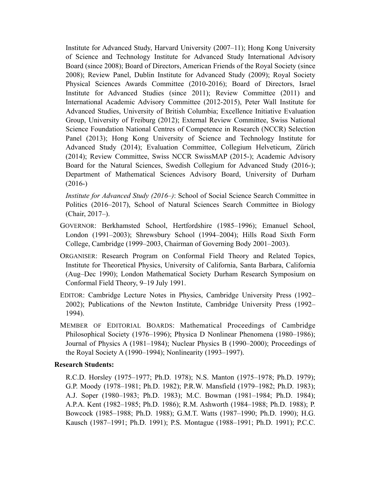Institute for Advanced Study, Harvard University (2007–11); Hong Kong University of Science and Technology Institute for Advanced Study International Advisory Board (since 2008); Board of Directors, American Friends of the Royal Society (since 2008); Review Panel, Dublin Institute for Advanced Study (2009); Royal Society Physical Sciences Awards Committee (2010-2016); Board of Directors, Israel Institute for Advanced Studies (since 2011); Review Committee (2011) and International Academic Advisory Committee (2012-2015), Peter Wall Institute for Advanced Studies, University of British Columbia; Excellence Initiative Evaluation Group, University of Freiburg (2012); External Review Committee, Swiss National Science Foundation National Centres of Competence in Research (NCCR) Selection Panel (2013); Hong Kong University of Science and Technology Institute for Advanced Study (2014); Evaluation Committee, Collegium Helveticum, Zürich (2014); Review Committee, Swiss NCCR SwissMAP (2015-); Academic Advisory Board for the Natural Sciences, Swedish Collegium for Advanced Study (2016-); Department of Mathematical Sciences Advisory Board, University of Durham  $(2016-)$ 

*Institute for Advanced Study (2016*–*)*: School of Social Science Search Committee in Politics (2016–2017), School of Natural Sciences Search Committee in Biology (Chair, 2017–).

- GOVERNOR: Berkhamsted School, Hertfordshire (1985–1996); Emanuel School, London (1991–2003); Shrewsbury School (1994–2004); Hills Road Sixth Form College, Cambridge (1999–2003, Chairman of Governing Body 2001–2003).
- ORGANISER: Research Program on Conformal Field Theory and Related Topics, Institute for Theoretical Physics, University of California, Santa Barbara, California (Aug–Dec 1990); London Mathematical Society Durham Research Symposium on Conformal Field Theory, 9–19 July 1991.
- EDITOR: Cambridge Lecture Notes in Physics, Cambridge University Press (1992– 2002); Publications of the Newton Institute, Cambridge University Press (1992– 1994).
- MEMBER OF EDITORIAL BOARDS: Mathematical Proceedings of Cambridge Philosophical Society (1976–1996); Physica D Nonlinear Phenomena (1980–1986); Journal of Physics A (1981–1984); Nuclear Physics B (1990–2000); Proceedings of the Royal Society A (1990–1994); Nonlinearity (1993–1997).

## **Research Students:**

R.C.D. Horsley (1975–1977; Ph.D. 1978); N.S. Manton (1975–1978; Ph.D. 1979); G.P. Moody (1978–1981; Ph.D. 1982); P.R.W. Mansfield (1979–1982; Ph.D. 1983); A.J. Soper (1980–1983; Ph.D. 1983); M.C. Bowman (1981–1984; Ph.D. 1984); A.P.A. Kent (1982–1985; Ph.D. 1986); R.M. Ashworth (1984–1988; Ph.D. 1988); P. Bowcock (1985–1988; Ph.D. 1988); G.M.T. Watts (1987–1990; Ph.D. 1990); H.G. Kausch (1987–1991; Ph.D. 1991); P.S. Montague (1988–1991; Ph.D. 1991); P.C.C.